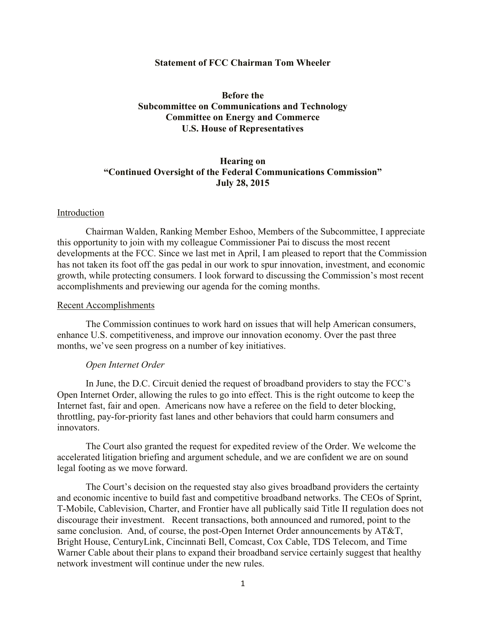### **Statement of FCC Chairman Tom Wheeler**

# **Before the Subcommittee on Communications and Technology Committee on Energy and Commerce U.S. House of Representatives**

# **Hearing on "Continued Oversight of the Federal Communications Commission" July 28, 2015**

#### Introduction

Chairman Walden, Ranking Member Eshoo, Members of the Subcommittee, I appreciate this opportunity to join with my colleague Commissioner Pai to discuss the most recent developments at the FCC. Since we last met in April, I am pleased to report that the Commission has not taken its foot off the gas pedal in our work to spur innovation, investment, and economic growth, while protecting consumers. I look forward to discussing the Commission's most recent accomplishments and previewing our agenda for the coming months.

### Recent Accomplishments

The Commission continues to work hard on issues that will help American consumers, enhance U.S. competitiveness, and improve our innovation economy. Over the past three months, we've seen progress on a number of key initiatives.

### *Open Internet Order*

In June, the D.C. Circuit denied the request of broadband providers to stay the FCC's Open Internet Order, allowing the rules to go into effect. This is the right outcome to keep the Internet fast, fair and open. Americans now have a referee on the field to deter blocking, throttling, pay-for-priority fast lanes and other behaviors that could harm consumers and innovators.

The Court also granted the request for expedited review of the Order. We welcome the accelerated litigation briefing and argument schedule, and we are confident we are on sound legal footing as we move forward.

The Court's decision on the requested stay also gives broadband providers the certainty and economic incentive to build fast and competitive broadband networks. The CEOs of Sprint, T-Mobile, Cablevision, Charter, and Frontier have all publically said Title II regulation does not discourage their investment. Recent transactions, both announced and rumored, point to the same conclusion. And, of course, the post-Open Internet Order announcements by AT&T, Bright House, CenturyLink, Cincinnati Bell, Comcast, Cox Cable, TDS Telecom, and Time Warner Cable about their plans to expand their broadband service certainly suggest that healthy network investment will continue under the new rules.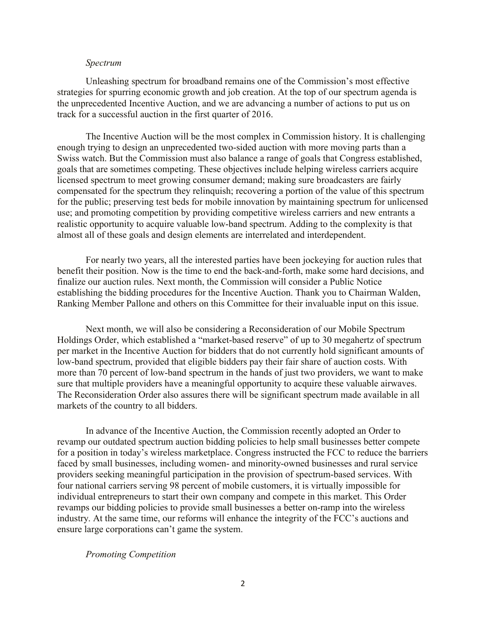#### *Spectrum*

Unleashing spectrum for broadband remains one of the Commission's most effective strategies for spurring economic growth and job creation. At the top of our spectrum agenda is the unprecedented Incentive Auction, and we are advancing a number of actions to put us on track for a successful auction in the first quarter of 2016.

The Incentive Auction will be the most complex in Commission history. It is challenging enough trying to design an unprecedented two-sided auction with more moving parts than a Swiss watch. But the Commission must also balance a range of goals that Congress established, goals that are sometimes competing. These objectives include helping wireless carriers acquire licensed spectrum to meet growing consumer demand; making sure broadcasters are fairly compensated for the spectrum they relinquish; recovering a portion of the value of this spectrum for the public; preserving test beds for mobile innovation by maintaining spectrum for unlicensed use; and promoting competition by providing competitive wireless carriers and new entrants a realistic opportunity to acquire valuable low-band spectrum. Adding to the complexity is that almost all of these goals and design elements are interrelated and interdependent.

For nearly two years, all the interested parties have been jockeying for auction rules that benefit their position. Now is the time to end the back-and-forth, make some hard decisions, and finalize our auction rules. Next month, the Commission will consider a Public Notice establishing the bidding procedures for the Incentive Auction. Thank you to Chairman Walden, Ranking Member Pallone and others on this Committee for their invaluable input on this issue.

Next month, we will also be considering a Reconsideration of our Mobile Spectrum Holdings Order, which established a "market-based reserve" of up to 30 megahertz of spectrum per market in the Incentive Auction for bidders that do not currently hold significant amounts of low-band spectrum, provided that eligible bidders pay their fair share of auction costs. With more than 70 percent of low-band spectrum in the hands of just two providers, we want to make sure that multiple providers have a meaningful opportunity to acquire these valuable airwaves. The Reconsideration Order also assures there will be significant spectrum made available in all markets of the country to all bidders.

In advance of the Incentive Auction, the Commission recently adopted an Order to revamp our outdated spectrum auction bidding policies to help small businesses better compete for a position in today's wireless marketplace. Congress instructed the FCC to reduce the barriers faced by small businesses, including women- and minority-owned businesses and rural service providers seeking meaningful participation in the provision of spectrum-based services. With four national carriers serving 98 percent of mobile customers, it is virtually impossible for individual entrepreneurs to start their own company and compete in this market. This Order revamps our bidding policies to provide small businesses a better on-ramp into the wireless industry. At the same time, our reforms will enhance the integrity of the FCC's auctions and ensure large corporations can't game the system.

## *Promoting Competition*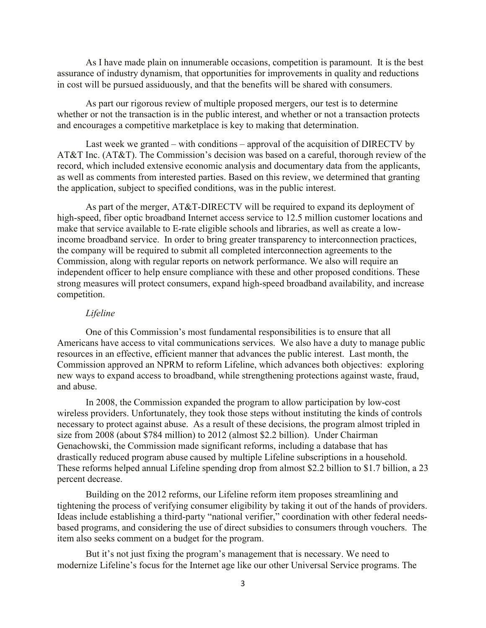As I have made plain on innumerable occasions, competition is paramount. It is the best assurance of industry dynamism, that opportunities for improvements in quality and reductions in cost will be pursued assiduously, and that the benefits will be shared with consumers.

As part our rigorous review of multiple proposed mergers, our test is to determine whether or not the transaction is in the public interest, and whether or not a transaction protects and encourages a competitive marketplace is key to making that determination.

Last week we granted – with conditions – approval of the acquisition of DIRECTV by AT&T Inc. (AT&T). The Commission's decision was based on a careful, thorough review of the record, which included extensive economic analysis and documentary data from the applicants, as well as comments from interested parties. Based on this review, we determined that granting the application, subject to specified conditions, was in the public interest.

As part of the merger, AT&T-DIRECTV will be required to expand its deployment of high-speed, fiber optic broadband Internet access service to 12.5 million customer locations and make that service available to E-rate eligible schools and libraries, as well as create a lowincome broadband service. In order to bring greater transparency to interconnection practices, the company will be required to submit all completed interconnection agreements to the Commission, along with regular reports on network performance. We also will require an independent officer to help ensure compliance with these and other proposed conditions. These strong measures will protect consumers, expand high-speed broadband availability, and increase competition.

# *Lifeline*

One of this Commission's most fundamental responsibilities is to ensure that all Americans have access to vital communications services. We also have a duty to manage public resources in an effective, efficient manner that advances the public interest. Last month, the Commission approved an NPRM to reform Lifeline, which advances both objectives: exploring new ways to expand access to broadband, while strengthening protections against waste, fraud, and abuse.

In 2008, the Commission expanded the program to allow participation by low-cost wireless providers. Unfortunately, they took those steps without instituting the kinds of controls necessary to protect against abuse. As a result of these decisions, the program almost tripled in size from 2008 (about \$784 million) to 2012 (almost \$2.2 billion). Under Chairman Genachowski, the Commission made significant reforms, including a database that has drastically reduced program abuse caused by multiple Lifeline subscriptions in a household. These reforms helped annual Lifeline spending drop from almost \$2.2 billion to \$1.7 billion, a 23 percent decrease.

Building on the 2012 reforms, our Lifeline reform item proposes streamlining and tightening the process of verifying consumer eligibility by taking it out of the hands of providers. Ideas include establishing a third-party "national verifier," coordination with other federal needsbased programs, and considering the use of direct subsidies to consumers through vouchers. The item also seeks comment on a budget for the program.

But it's not just fixing the program's management that is necessary. We need to modernize Lifeline's focus for the Internet age like our other Universal Service programs. The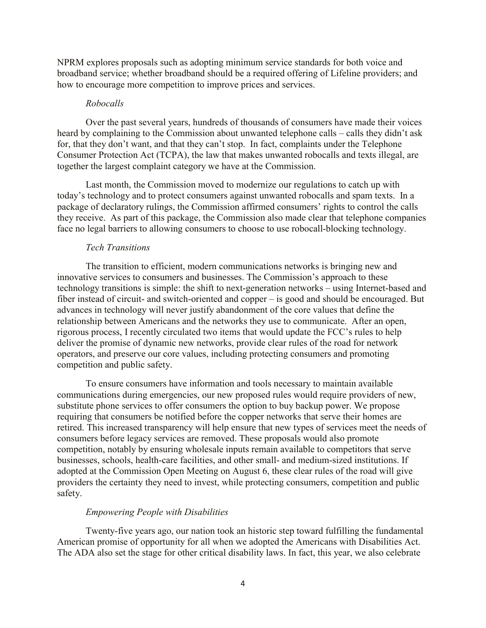NPRM explores proposals such as adopting minimum service standards for both voice and broadband service; whether broadband should be a required offering of Lifeline providers; and how to encourage more competition to improve prices and services.

### *Robocalls*

Over the past several years, hundreds of thousands of consumers have made their voices heard by complaining to the Commission about unwanted telephone calls – calls they didn't ask for, that they don't want, and that they can't stop. In fact, complaints under the Telephone Consumer Protection Act (TCPA), the law that makes unwanted robocalls and texts illegal, are together the largest complaint category we have at the Commission.

Last month, the Commission moved to modernize our regulations to catch up with today's technology and to protect consumers against unwanted robocalls and spam texts. In a package of declaratory rulings, the Commission affirmed consumers' rights to control the calls they receive. As part of this package, the Commission also made clear that telephone companies face no legal barriers to allowing consumers to choose to use robocall-blocking technology.

# *Tech Transitions*

The transition to efficient, modern communications networks is bringing new and innovative services to consumers and businesses. The Commission's approach to these technology transitions is simple: the shift to next-generation networks – using Internet-based and fiber instead of circuit- and switch-oriented and copper – is good and should be encouraged. But advances in technology will never justify abandonment of the core values that define the relationship between Americans and the networks they use to communicate. After an open, rigorous process, I recently circulated two items that would update the FCC's rules to help deliver the promise of dynamic new networks, provide clear rules of the road for network operators, and preserve our core values, including protecting consumers and promoting competition and public safety.

To ensure consumers have information and tools necessary to maintain available communications during emergencies, our new proposed rules would require providers of new, substitute phone services to offer consumers the option to buy backup power. We propose requiring that consumers be notified before the copper networks that serve their homes are retired. This increased transparency will help ensure that new types of services meet the needs of consumers before legacy services are removed. These proposals would also promote competition, notably by ensuring wholesale inputs remain available to competitors that serve businesses, schools, health-care facilities, and other small- and medium-sized institutions. If adopted at the Commission Open Meeting on August 6, these clear rules of the road will give providers the certainty they need to invest, while protecting consumers, competition and public safety.

# *Empowering People with Disabilities*

Twenty-five years ago, our nation took an historic step toward fulfilling the fundamental American promise of opportunity for all when we adopted the Americans with Disabilities Act. The ADA also set the stage for other critical disability laws. In fact, this year, we also celebrate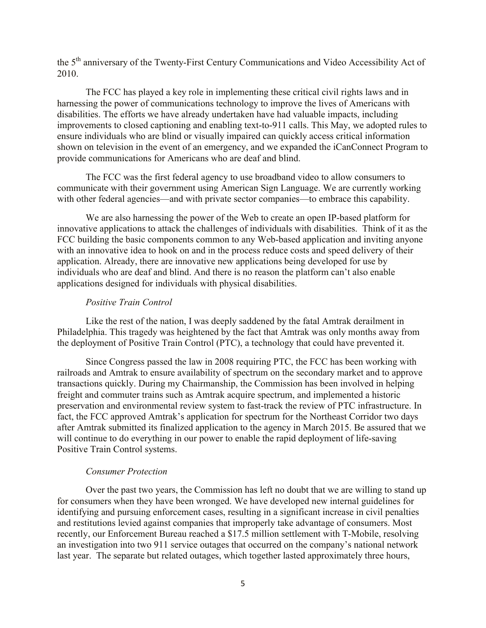the 5th anniversary of the Twenty-First Century Communications and Video Accessibility Act of 2010.

The FCC has played a key role in implementing these critical civil rights laws and in harnessing the power of communications technology to improve the lives of Americans with disabilities. The efforts we have already undertaken have had valuable impacts, including improvements to closed captioning and enabling text-to-911 calls. This May, we adopted rules to ensure individuals who are blind or visually impaired can quickly access critical information shown on television in the event of an emergency, and we expanded the iCanConnect Program to provide communications for Americans who are deaf and blind.

The FCC was the first federal agency to use broadband video to allow consumers to communicate with their government using American Sign Language. We are currently working with other federal agencies—and with private sector companies—to embrace this capability.

We are also harnessing the power of the Web to create an open IP-based platform for innovative applications to attack the challenges of individuals with disabilities. Think of it as the FCC building the basic components common to any Web-based application and inviting anyone with an innovative idea to hook on and in the process reduce costs and speed delivery of their application. Already, there are innovative new applications being developed for use by individuals who are deaf and blind. And there is no reason the platform can't also enable applications designed for individuals with physical disabilities.

# *Positive Train Control*

Like the rest of the nation, I was deeply saddened by the fatal Amtrak derailment in Philadelphia. This tragedy was heightened by the fact that Amtrak was only months away from the deployment of Positive Train Control (PTC), a technology that could have prevented it.

Since Congress passed the law in 2008 requiring PTC, the FCC has been working with railroads and Amtrak to ensure availability of spectrum on the secondary market and to approve transactions quickly. During my Chairmanship, the Commission has been involved in helping freight and commuter trains such as Amtrak acquire spectrum, and implemented a historic preservation and environmental review system to fast-track the review of PTC infrastructure. In fact, the FCC approved Amtrak's application for spectrum for the Northeast Corridor two days after Amtrak submitted its finalized application to the agency in March 2015. Be assured that we will continue to do everything in our power to enable the rapid deployment of life-saving Positive Train Control systems.

# *Consumer Protection*

Over the past two years, the Commission has left no doubt that we are willing to stand up for consumers when they have been wronged. We have developed new internal guidelines for identifying and pursuing enforcement cases, resulting in a significant increase in civil penalties and restitutions levied against companies that improperly take advantage of consumers. Most recently, our Enforcement Bureau reached a \$17.5 million settlement with T-Mobile, resolving an investigation into two 911 service outages that occurred on the company's national network last year. The separate but related outages, which together lasted approximately three hours,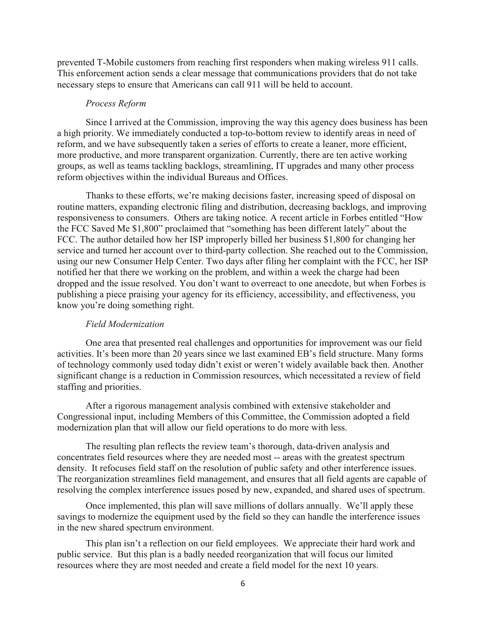prevented T-Mobile customers from reaching first responders when making wireless 911 calls. This enforcement action sends a clear message that communications providers that do not take necessary steps to ensure that Americans can call 911 will be held to account.

### *Process Reform*

Since I arrived at the Commission, improving the way this agency does business has been a high priority. We immediately conducted a top-to-bottom review to identify areas in need of reform, and we have subsequently taken a series of efforts to create a leaner, more efficient, more productive, and more transparent organization. Currently, there are ten active working groups, as well as teams tackling backlogs, streamlining, IT upgrades and many other process reform objectives within the individual Bureaus and Offices.

Thanks to these efforts, we're making decisions faster, increasing speed of disposal on routine matters, expanding electronic filing and distribution, decreasing backlogs, and improving responsiveness to consumers. Others are taking notice. A recent article in Forbes entitled "How the FCC Saved Me \$1,800" proclaimed that "something has been different lately" about the FCC. The author detailed how her ISP improperly billed her business \$1,800 for changing her service and turned her account over to third-party collection. She reached out to the Commission, using our new Consumer Help Center. Two days after filing her complaint with the FCC, her ISP notified her that there we working on the problem, and within a week the charge had been dropped and the issue resolved. You don't want to overreact to one anecdote, but when Forbes is publishing a piece praising your agency for its efficiency, accessibility, and effectiveness, you know you're doing something right.

### *Field Modernization*

One area that presented real challenges and opportunities for improvement was our field activities. It's been more than 20 years since we last examined EB's field structure. Many forms of technology commonly used today didn't exist or weren't widely available back then. Another significant change is a reduction in Commission resources, which necessitated a review of field staffing and priorities.

After a rigorous management analysis combined with extensive stakeholder and Congressional input, including Members of this Committee, the Commission adopted a field modernization plan that will allow our field operations to do more with less.

The resulting plan reflects the review team's thorough, data-driven analysis and concentrates field resources where they are needed most -- areas with the greatest spectrum density. It refocuses field staff on the resolution of public safety and other interference issues. The reorganization streamlines field management, and ensures that all field agents are capable of resolving the complex interference issues posed by new, expanded, and shared uses of spectrum.

Once implemented, this plan will save millions of dollars annually. We'll apply these savings to modernize the equipment used by the field so they can handle the interference issues in the new shared spectrum environment.

This plan isn't a reflection on our field employees. We appreciate their hard work and public service. But this plan is a badly needed reorganization that will focus our limited resources where they are most needed and create a field model for the next 10 years.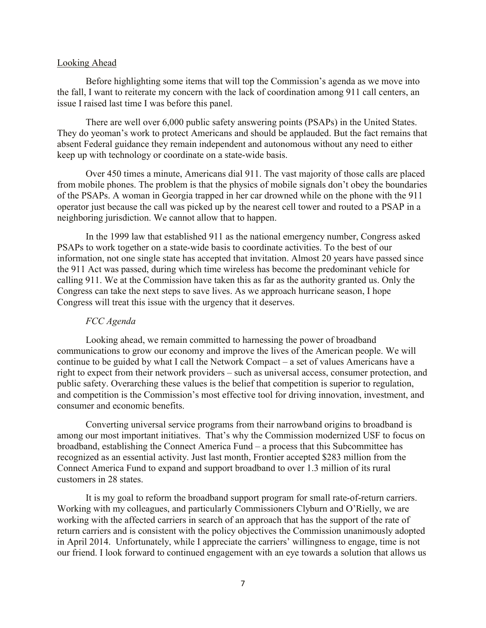# Looking Ahead

Before highlighting some items that will top the Commission's agenda as we move into the fall, I want to reiterate my concern with the lack of coordination among 911 call centers, an issue I raised last time I was before this panel.

There are well over 6,000 public safety answering points (PSAPs) in the United States. They do yeoman's work to protect Americans and should be applauded. But the fact remains that absent Federal guidance they remain independent and autonomous without any need to either keep up with technology or coordinate on a state-wide basis.

Over 450 times a minute, Americans dial 911. The vast majority of those calls are placed from mobile phones. The problem is that the physics of mobile signals don't obey the boundaries of the PSAPs. A woman in Georgia trapped in her car drowned while on the phone with the 911 operator just because the call was picked up by the nearest cell tower and routed to a PSAP in a neighboring jurisdiction. We cannot allow that to happen.

In the 1999 law that established 911 as the national emergency number, Congress asked PSAPs to work together on a state-wide basis to coordinate activities. To the best of our information, not one single state has accepted that invitation. Almost 20 years have passed since the 911 Act was passed, during which time wireless has become the predominant vehicle for calling 911. We at the Commission have taken this as far as the authority granted us. Only the Congress can take the next steps to save lives. As we approach hurricane season, I hope Congress will treat this issue with the urgency that it deserves.

# *FCC Agenda*

Looking ahead, we remain committed to harnessing the power of broadband communications to grow our economy and improve the lives of the American people. We will continue to be guided by what I call the Network Compact – a set of values Americans have a right to expect from their network providers – such as universal access, consumer protection, and public safety. Overarching these values is the belief that competition is superior to regulation, and competition is the Commission's most effective tool for driving innovation, investment, and consumer and economic benefits.

Converting universal service programs from their narrowband origins to broadband is among our most important initiatives. That's why the Commission modernized USF to focus on broadband, establishing the Connect America Fund – a process that this Subcommittee has recognized as an essential activity. Just last month, Frontier accepted \$283 million from the Connect America Fund to expand and support broadband to over 1.3 million of its rural customers in 28 states.

It is my goal to reform the broadband support program for small rate-of-return carriers. Working with my colleagues, and particularly Commissioners Clyburn and O'Rielly, we are working with the affected carriers in search of an approach that has the support of the rate of return carriers and is consistent with the policy objectives the Commission unanimously adopted in April 2014. Unfortunately, while I appreciate the carriers' willingness to engage, time is not our friend. I look forward to continued engagement with an eye towards a solution that allows us